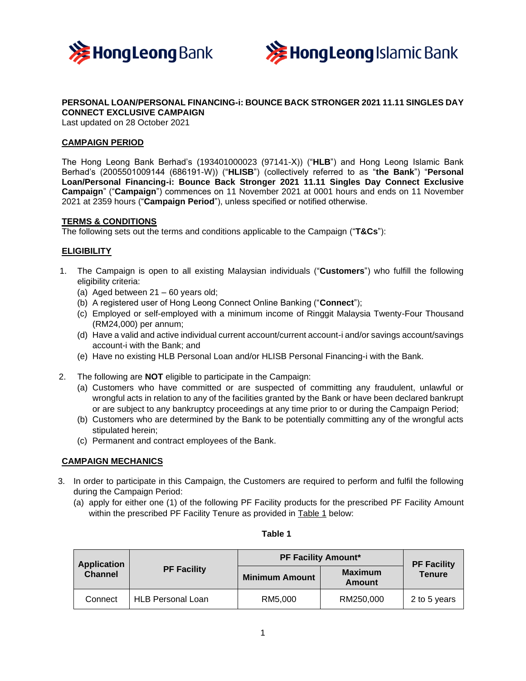



# **PERSONAL LOAN/PERSONAL FINANCING-i: BOUNCE BACK STRONGER 2021 11.11 SINGLES DAY CONNECT EXCLUSIVE CAMPAIGN**

Last updated on 28 October 2021

## **CAMPAIGN PERIOD**

The Hong Leong Bank Berhad's (193401000023 (97141-X)) ("**HLB**") and Hong Leong Islamic Bank Berhad's (2005501009144 (686191-W)) ("**HLISB**") (collectively referred to as "**the Bank**") "**Personal Loan/Personal Financing-i: Bounce Back Stronger 2021 11.11 Singles Day Connect Exclusive Campaign**" ("**Campaign**") commences on 11 November 2021 at 0001 hours and ends on 11 November 2021 at 2359 hours ("**Campaign Period**"), unless specified or notified otherwise.

### **TERMS & CONDITIONS**

The following sets out the terms and conditions applicable to the Campaign ("**T&Cs**"):

### **ELIGIBILITY**

- 1. The Campaign is open to all existing Malaysian individuals ("**Customers**") who fulfill the following eligibility criteria:
	- (a) Aged between 21 60 years old;
	- (b) A registered user of Hong Leong Connect Online Banking ("**Connect**");
	- (c) Employed or self-employed with a minimum income of Ringgit Malaysia Twenty-Four Thousand (RM24,000) per annum;
	- (d) Have a valid and active individual current account/current account-i and/or savings account/savings account-i with the Bank; and
	- (e) Have no existing HLB Personal Loan and/or HLISB Personal Financing-i with the Bank.
- 2. The following are **NOT** eligible to participate in the Campaign:
	- (a) Customers who have committed or are suspected of committing any fraudulent, unlawful or wrongful acts in relation to any of the facilities granted by the Bank or have been declared bankrupt or are subject to any bankruptcy proceedings at any time prior to or during the Campaign Period;
	- (b) Customers who are determined by the Bank to be potentially committing any of the wrongful acts stipulated herein;
	- (c) Permanent and contract employees of the Bank.

### **CAMPAIGN MECHANICS**

- 3. In order to participate in this Campaign, the Customers are required to perform and fulfil the following during the Campaign Period:
	- (a) apply for either one (1) of the following PF Facility products for the prescribed PF Facility Amount within the prescribed PF Facility Tenure as provided in Table 1 below:

| <b>Application</b><br><b>Channel</b> | <b>PF Facility</b>       | <b>PF Facility Amount*</b> |                                 | <b>PF Facility</b> |
|--------------------------------------|--------------------------|----------------------------|---------------------------------|--------------------|
|                                      |                          | <b>Minimum Amount</b>      | <b>Maximum</b><br><b>Amount</b> | <b>Tenure</b>      |
| Connect                              | <b>HLB Personal Loan</b> | RM5.000                    | RM250,000                       | 2 to 5 years       |

# **Table 1**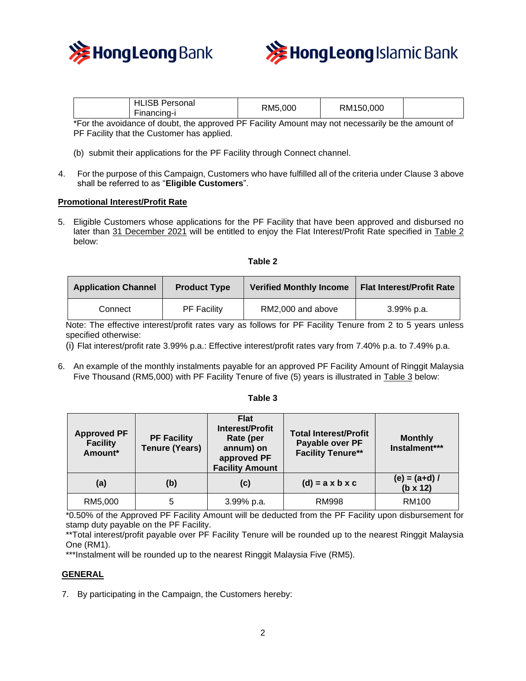



| <b>HLISB</b><br>Personal<br>Financing- | RM5,000 | RM150,000 |  |
|----------------------------------------|---------|-----------|--|
|                                        |         |           |  |

\*For the avoidance of doubt, the approved PF Facility Amount may not necessarily be the amount of PF Facility that the Customer has applied.

- (b) submit their applications for the PF Facility through Connect channel.
- 4. For the purpose of this Campaign, Customers who have fulfilled all of the criteria under Clause 3 above shall be referred to as "**Eligible Customers**".

#### **Promotional Interest/Profit Rate**

5. Eligible Customers whose applications for the PF Facility that have been approved and disbursed no later than 31 December 2021 will be entitled to enjoy the Flat Interest/Profit Rate specified in Table 2 below:

| ۰.<br>- 1<br>٠<br>÷<br>٠ |  |
|--------------------------|--|
|--------------------------|--|

| <b>Application Channel</b> | <b>Product Type</b> | <b>Verified Monthly Income</b> | <b>Flat Interest/Profit Rate</b> |
|----------------------------|---------------------|--------------------------------|----------------------------------|
| Connect                    | <b>PF Facility</b>  | RM2,000 and above              | $3.99\%$ p.a.                    |

Note: The effective interest/profit rates vary as follows for PF Facility Tenure from 2 to 5 years unless specified otherwise:

(i) Flat interest/profit rate 3.99% p.a.: Effective interest/profit rates vary from 7.40% p.a. to 7.49% p.a.

6. An example of the monthly instalments payable for an approved PF Facility Amount of Ringgit Malaysia Five Thousand (RM5,000) with PF Facility Tenure of five (5) years is illustrated in Table 3 below:

#### **Table 3**

| <b>Approved PF</b><br><b>Facility</b><br>Amount* | <b>PF Facility</b><br><b>Tenure (Years)</b> | <b>Flat</b><br><b>Interest/Profit</b><br>Rate (per<br>annum) on<br>approved PF<br><b>Facility Amount</b> | <b>Total Interest/Profit</b><br>Payable over PF<br><b>Facility Tenure**</b> | <b>Monthly</b><br>Instalment***    |
|--------------------------------------------------|---------------------------------------------|----------------------------------------------------------------------------------------------------------|-----------------------------------------------------------------------------|------------------------------------|
| (a)                                              | (b)                                         | (c)                                                                                                      | $(d) = a \times b \times c$                                                 | $(e) = (a+d) /$<br>$(b \times 12)$ |
| RM5,000                                          | 5                                           | 3.99% p.a.                                                                                               | <b>RM998</b>                                                                | <b>RM100</b>                       |

\*0.50% of the Approved PF Facility Amount will be deducted from the PF Facility upon disbursement for stamp duty payable on the PF Facility.

\*\*Total interest/profit payable over PF Facility Tenure will be rounded up to the nearest Ringgit Malaysia One (RM1).

\*\*\*Instalment will be rounded up to the nearest Ringgit Malaysia Five (RM5).

### **GENERAL**

7. By participating in the Campaign, the Customers hereby: